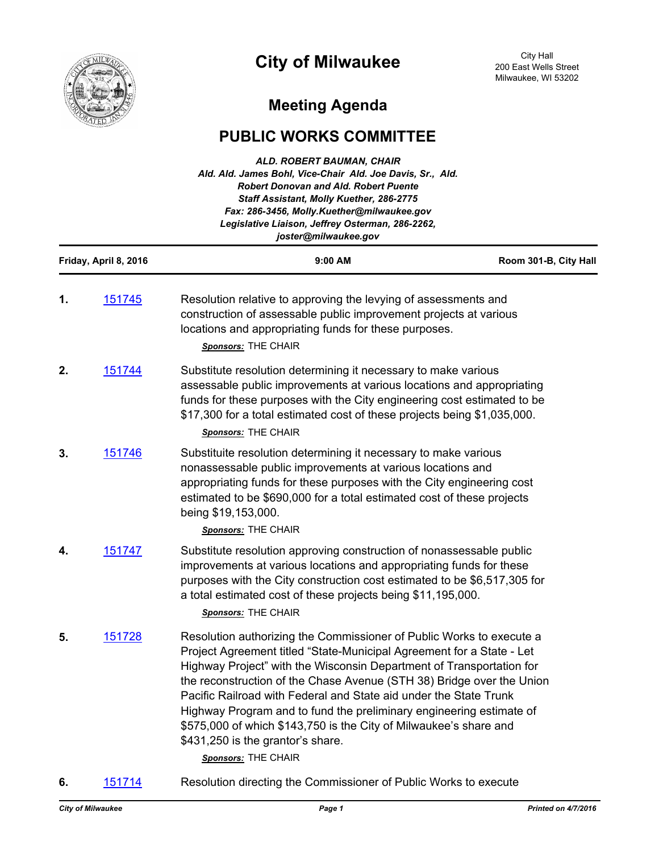

# **City of Milwaukee**

City Hall 200 East Wells Street Milwaukee, WI 53202

## **Meeting Agenda**

### **PUBLIC WORKS COMMITTEE**

| ALD. ROBERT BAUMAN, CHAIR<br>Ald. Ald. James Bohl, Vice-Chair Ald. Joe Davis, Sr., Ald.<br><b>Robert Donovan and Ald. Robert Puente</b><br>Staff Assistant, Molly Kuether, 286-2775<br>Fax: 286-3456, Molly.Kuether@milwaukee.gov<br>Legislative Liaison, Jeffrey Osterman, 286-2262,<br>joster@milwaukee.gov |                |                                                                                                                                                                                                                                                                                                                                                                                                                                                                                                                                                                             |                       |  |  |
|---------------------------------------------------------------------------------------------------------------------------------------------------------------------------------------------------------------------------------------------------------------------------------------------------------------|----------------|-----------------------------------------------------------------------------------------------------------------------------------------------------------------------------------------------------------------------------------------------------------------------------------------------------------------------------------------------------------------------------------------------------------------------------------------------------------------------------------------------------------------------------------------------------------------------------|-----------------------|--|--|
| Friday, April 8, 2016                                                                                                                                                                                                                                                                                         |                | 9:00 AM                                                                                                                                                                                                                                                                                                                                                                                                                                                                                                                                                                     | Room 301-B, City Hall |  |  |
| 1.                                                                                                                                                                                                                                                                                                            | 151745         | Resolution relative to approving the levying of assessments and<br>construction of assessable public improvement projects at various<br>locations and appropriating funds for these purposes.<br>Sponsors: THE CHAIR                                                                                                                                                                                                                                                                                                                                                        |                       |  |  |
| 2.                                                                                                                                                                                                                                                                                                            | 151744         | Substitute resolution determining it necessary to make various<br>assessable public improvements at various locations and appropriating<br>funds for these purposes with the City engineering cost estimated to be<br>\$17,300 for a total estimated cost of these projects being \$1,035,000.<br><b>Sponsors: THE CHAIR</b>                                                                                                                                                                                                                                                |                       |  |  |
| 3.                                                                                                                                                                                                                                                                                                            | 151746         | Substituite resolution determining it necessary to make various<br>nonassessable public improvements at various locations and<br>appropriating funds for these purposes with the City engineering cost<br>estimated to be \$690,000 for a total estimated cost of these projects<br>being \$19,153,000.<br>Sponsors: THE CHAIR                                                                                                                                                                                                                                              |                       |  |  |
| 4.                                                                                                                                                                                                                                                                                                            | 151747         | Substitute resolution approving construction of nonassessable public<br>improvements at various locations and appropriating funds for these<br>purposes with the City construction cost estimated to be \$6,517,305 for<br>a total estimated cost of these projects being \$11,195,000.<br>Sponsors: THE CHAIR                                                                                                                                                                                                                                                              |                       |  |  |
|                                                                                                                                                                                                                                                                                                               | <u> 151728</u> | Resolution authorizing the Commissioner of Public Works to execute a<br>Project Agreement titled "State-Municipal Agreement for a State - Let<br>Highway Project" with the Wisconsin Department of Transportation for<br>the reconstruction of the Chase Avenue (STH 38) Bridge over the Union<br>Pacific Railroad with Federal and State aid under the State Trunk<br>Highway Program and to fund the preliminary engineering estimate of<br>\$575,000 of which \$143,750 is the City of Milwaukee's share and<br>\$431,250 is the grantor's share.<br>Sponsors: THE CHAIR |                       |  |  |

**6.** [151714](http://milwaukee.legistar.com/gateway.aspx?m=l&id=/matter.aspx?key=43413) Resolution directing the Commissioner of Public Works to execute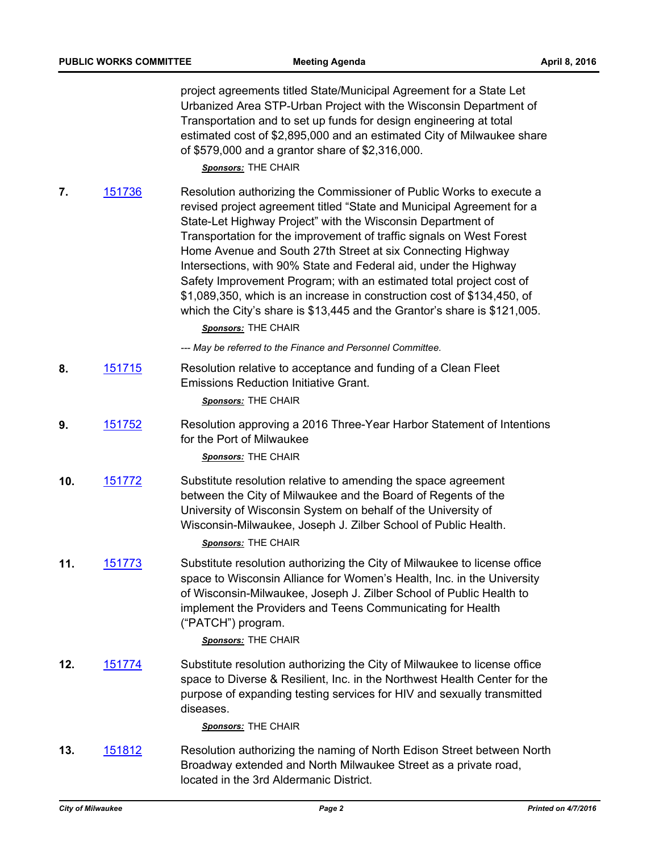|     | <b>PUBLIC WORKS COMMITTEE</b> | <b>Meeting Agenda</b>                                                                                                                                                                                                                                                                                                                                                                                                                                                                                                                                                                                                                                                        | April 8, 2016 |
|-----|-------------------------------|------------------------------------------------------------------------------------------------------------------------------------------------------------------------------------------------------------------------------------------------------------------------------------------------------------------------------------------------------------------------------------------------------------------------------------------------------------------------------------------------------------------------------------------------------------------------------------------------------------------------------------------------------------------------------|---------------|
|     |                               | project agreements titled State/Municipal Agreement for a State Let<br>Urbanized Area STP-Urban Project with the Wisconsin Department of<br>Transportation and to set up funds for design engineering at total<br>estimated cost of \$2,895,000 and an estimated City of Milwaukee share<br>of \$579,000 and a grantor share of \$2,316,000.<br>Sponsors: THE CHAIR                                                                                                                                                                                                                                                                                                          |               |
| 7.  | 151736                        | Resolution authorizing the Commissioner of Public Works to execute a<br>revised project agreement titled "State and Municipal Agreement for a<br>State-Let Highway Project" with the Wisconsin Department of<br>Transportation for the improvement of traffic signals on West Forest<br>Home Avenue and South 27th Street at six Connecting Highway<br>Intersections, with 90% State and Federal aid, under the Highway<br>Safety Improvement Program; with an estimated total project cost of<br>\$1,089,350, which is an increase in construction cost of \$134,450, of<br>which the City's share is \$13,445 and the Grantor's share is \$121,005.<br>Sponsors: THE CHAIR |               |
|     |                               | --- May be referred to the Finance and Personnel Committee.                                                                                                                                                                                                                                                                                                                                                                                                                                                                                                                                                                                                                  |               |
| 8.  | 151715                        | Resolution relative to acceptance and funding of a Clean Fleet<br><b>Emissions Reduction Initiative Grant.</b><br>Sponsors: THE CHAIR                                                                                                                                                                                                                                                                                                                                                                                                                                                                                                                                        |               |
| 9.  | 151752                        | Resolution approving a 2016 Three-Year Harbor Statement of Intentions<br>for the Port of Milwaukee<br>Sponsors: THE CHAIR                                                                                                                                                                                                                                                                                                                                                                                                                                                                                                                                                    |               |
| 10. | 151772                        | Substitute resolution relative to amending the space agreement<br>between the City of Milwaukee and the Board of Regents of the<br>University of Wisconsin System on behalf of the University of<br>Wisconsin-Milwaukee, Joseph J. Zilber School of Public Health.<br>Sponsors: THE CHAIR                                                                                                                                                                                                                                                                                                                                                                                    |               |
| 11. | 151773                        | Substitute resolution authorizing the City of Milwaukee to license office<br>space to Wisconsin Alliance for Women's Health, Inc. in the University<br>of Wisconsin-Milwaukee, Joseph J. Zilber School of Public Health to<br>implement the Providers and Teens Communicating for Health<br>("PATCH") program.<br>Sponsors: THE CHAIR                                                                                                                                                                                                                                                                                                                                        |               |
| 12. | 151774                        | Substitute resolution authorizing the City of Milwaukee to license office<br>space to Diverse & Resilient, Inc. in the Northwest Health Center for the<br>purpose of expanding testing services for HIV and sexually transmitted<br>diseases.<br>Sponsors: THE CHAIR                                                                                                                                                                                                                                                                                                                                                                                                         |               |
| 13. | 151812                        | Resolution authorizing the naming of North Edison Street between North<br>Broadway extended and North Milwaukee Street as a private road,<br>located in the 3rd Aldermanic District.                                                                                                                                                                                                                                                                                                                                                                                                                                                                                         |               |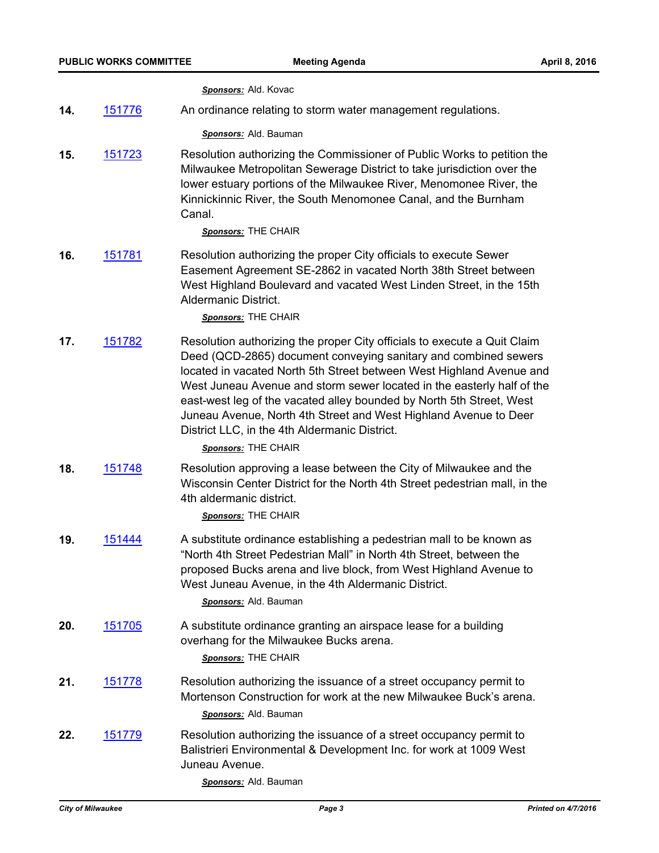*Sponsors:* Ald. Kovac

**14.** [151776](http://milwaukee.legistar.com/gateway.aspx?m=l&id=/matter.aspx?key=43488) An ordinance relating to storm water management regulations.

*Sponsors:* Ald. Bauman

**15.** [151723](http://milwaukee.legistar.com/gateway.aspx?m=l&id=/matter.aspx?key=43427) Resolution authorizing the Commissioner of Public Works to petition the Milwaukee Metropolitan Sewerage District to take jurisdiction over the lower estuary portions of the Milwaukee River, Menomonee River, the Kinnickinnic River, the South Menomonee Canal, and the Burnham Canal.

*Sponsors:* THE CHAIR

**16.** [151781](http://milwaukee.legistar.com/gateway.aspx?m=l&id=/matter.aspx?key=43493) Resolution authorizing the proper City officials to execute Sewer Easement Agreement SE-2862 in vacated North 38th Street between West Highland Boulevard and vacated West Linden Street, in the 15th Aldermanic District.

*Sponsors:* THE CHAIR

**17.** [151782](http://milwaukee.legistar.com/gateway.aspx?m=l&id=/matter.aspx?key=43494) Resolution authorizing the proper City officials to execute a Quit Claim Deed (QCD-2865) document conveying sanitary and combined sewers located in vacated North 5th Street between West Highland Avenue and West Juneau Avenue and storm sewer located in the easterly half of the east-west leg of the vacated alley bounded by North 5th Street, West Juneau Avenue, North 4th Street and West Highland Avenue to Deer District LLC, in the 4th Aldermanic District.

*Sponsors:* THE CHAIR

**18.** [151748](http://milwaukee.legistar.com/gateway.aspx?m=l&id=/matter.aspx?key=43460) Resolution approving a lease between the City of Milwaukee and the Wisconsin Center District for the North 4th Street pedestrian mall, in the 4th aldermanic district.

*Sponsors:* THE CHAIR

**19.** [151444](http://milwaukee.legistar.com/gateway.aspx?m=l&id=/matter.aspx?key=43074) A substitute ordinance establishing a pedestrian mall to be known as "North 4th Street Pedestrian Mall" in North 4th Street, between the proposed Bucks arena and live block, from West Highland Avenue to West Juneau Avenue, in the 4th Aldermanic District.

*Sponsors:* Ald. Bauman

**20.** [151705](http://milwaukee.legistar.com/gateway.aspx?m=l&id=/matter.aspx?key=43402) A substitute ordinance granting an airspace lease for a building overhang for the Milwaukee Bucks arena.

*Sponsors:* THE CHAIR

- **21.** [151778](http://milwaukee.legistar.com/gateway.aspx?m=l&id=/matter.aspx?key=43490) Resolution authorizing the issuance of a street occupancy permit to Mortenson Construction for work at the new Milwaukee Buck's arena. *Sponsors:* Ald. Bauman
- **22.** [151779](http://milwaukee.legistar.com/gateway.aspx?m=l&id=/matter.aspx?key=43491) Resolution authorizing the issuance of a street occupancy permit to Balistrieri Environmental & Development Inc. for work at 1009 West Juneau Avenue.

*Sponsors:* Ald. Bauman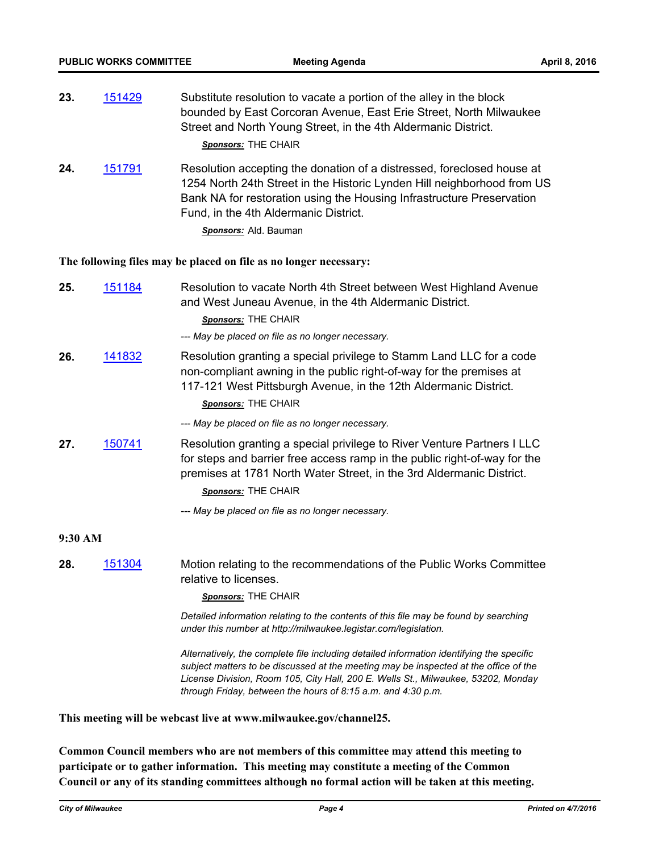| 23. | 151429 | Substitute resolution to vacate a portion of the alley in the block<br>bounded by East Corcoran Avenue, East Erie Street, North Milwaukee<br>Street and North Young Street, in the 4th Aldermanic District.<br>Sponsors: THE CHAIR |
|-----|--------|------------------------------------------------------------------------------------------------------------------------------------------------------------------------------------------------------------------------------------|
| 24. | 151791 | Resolution accepting the donation of a distressed, foreclosed house at<br>1254 North 24th Street in the Historic Lynden Hill neighborhood from US                                                                                  |

1254 North 24th Street in the Historic Lynden Hill neighborhood from US Bank NA for restoration using the Housing Infrastructure Preservation Fund, in the 4th Aldermanic District.

*Sponsors:* Ald. Bauman

#### **The following files may be placed on file as no longer necessary:**

| 25.     | 151184 | Resolution to vacate North 4th Street between West Highland Avenue<br>and West Juneau Avenue, in the 4th Aldermanic District.<br>Sponsors: THE CHAIR<br>--- May be placed on file as no longer necessary.                                                                                                                             |  |
|---------|--------|---------------------------------------------------------------------------------------------------------------------------------------------------------------------------------------------------------------------------------------------------------------------------------------------------------------------------------------|--|
| 26.     | 141832 | Resolution granting a special privilege to Stamm Land LLC for a code<br>non-compliant awning in the public right-of-way for the premises at<br>117-121 West Pittsburgh Avenue, in the 12th Aldermanic District.<br>Sponsors: THE CHAIR                                                                                                |  |
|         |        | --- May be placed on file as no longer necessary.                                                                                                                                                                                                                                                                                     |  |
| 27.     | 150741 | Resolution granting a special privilege to River Venture Partners I LLC<br>for steps and barrier free access ramp in the public right-of-way for the<br>premises at 1781 North Water Street, in the 3rd Aldermanic District.<br><b>Sponsors: THE CHAIR</b>                                                                            |  |
|         |        | --- May be placed on file as no longer necessary.                                                                                                                                                                                                                                                                                     |  |
| 9:30 AM |        |                                                                                                                                                                                                                                                                                                                                       |  |
| 28.     | 151304 | Motion relating to the recommendations of the Public Works Committee<br>relative to licenses.                                                                                                                                                                                                                                         |  |
|         |        | <b>Sponsors: THE CHAIR</b>                                                                                                                                                                                                                                                                                                            |  |
|         |        | Detailed information relating to the contents of this file may be found by searching<br>under this number at http://milwaukee.legistar.com/legislation.                                                                                                                                                                               |  |
|         |        | Alternatively, the complete file including detailed information identifying the specific<br>subject matters to be discussed at the meeting may be inspected at the office of the<br>License Division, Room 105, City Hall, 200 E. Wells St., Milwaukee, 53202, Monday<br>through Friday, between the hours of 8:15 a.m. and 4:30 p.m. |  |

### **This meeting will be webcast live at www.milwaukee.gov/channel25.**

**Common Council members who are not members of this committee may attend this meeting to participate or to gather information. This meeting may constitute a meeting of the Common Council or any of its standing committees although no formal action will be taken at this meeting.**